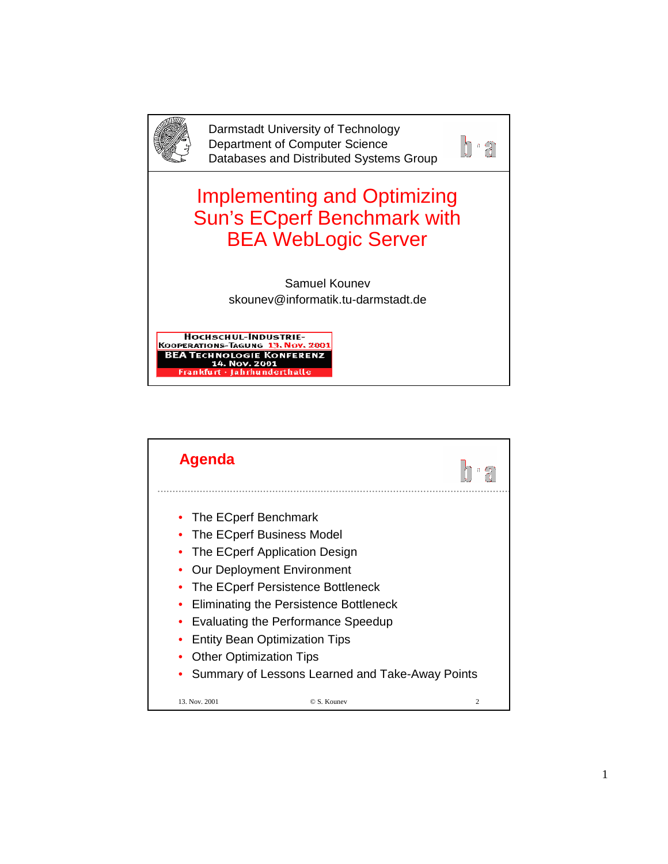

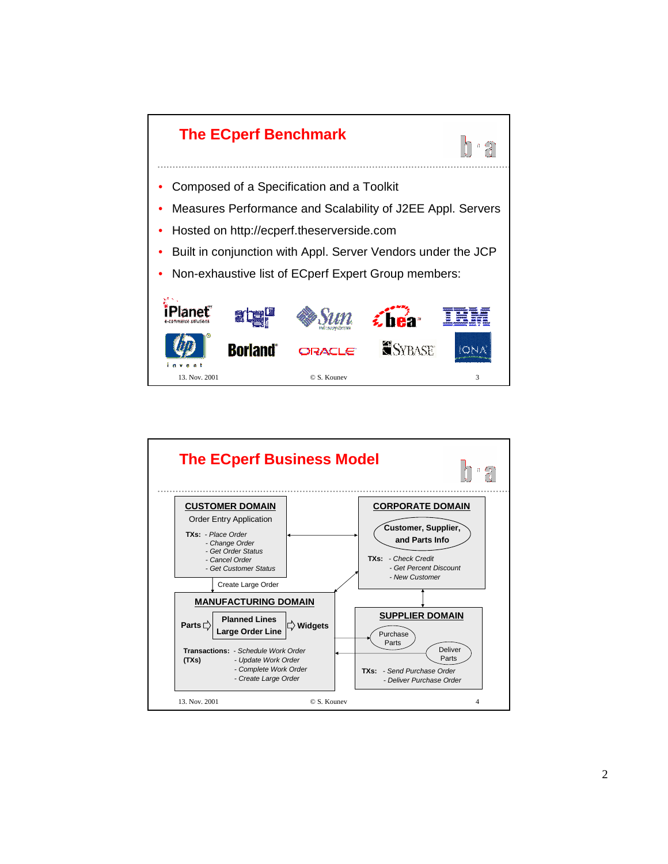

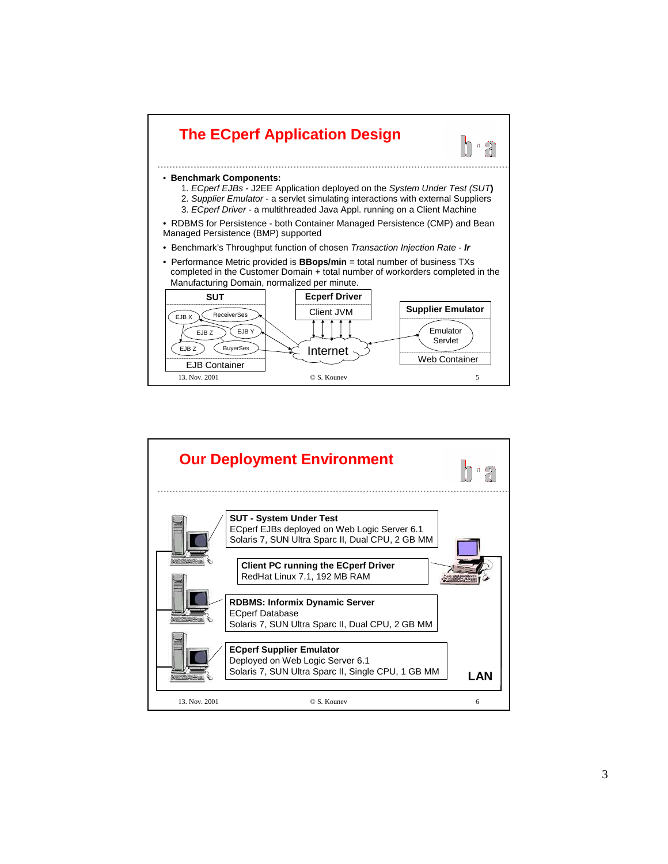

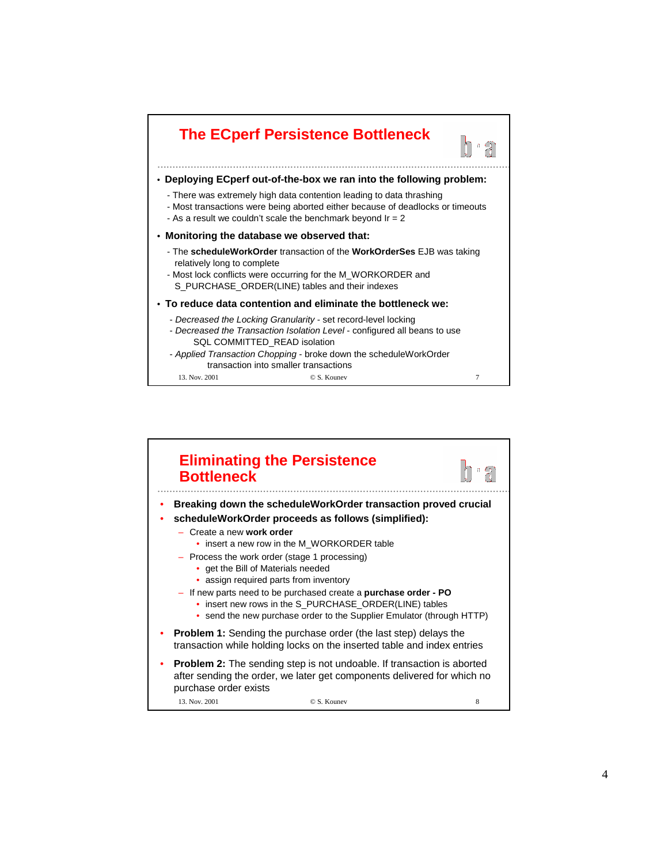

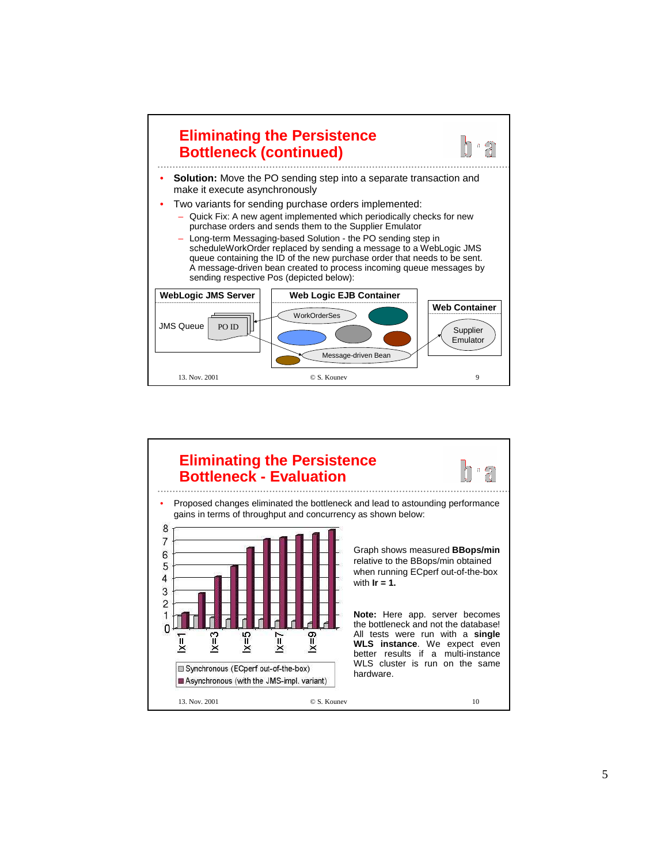

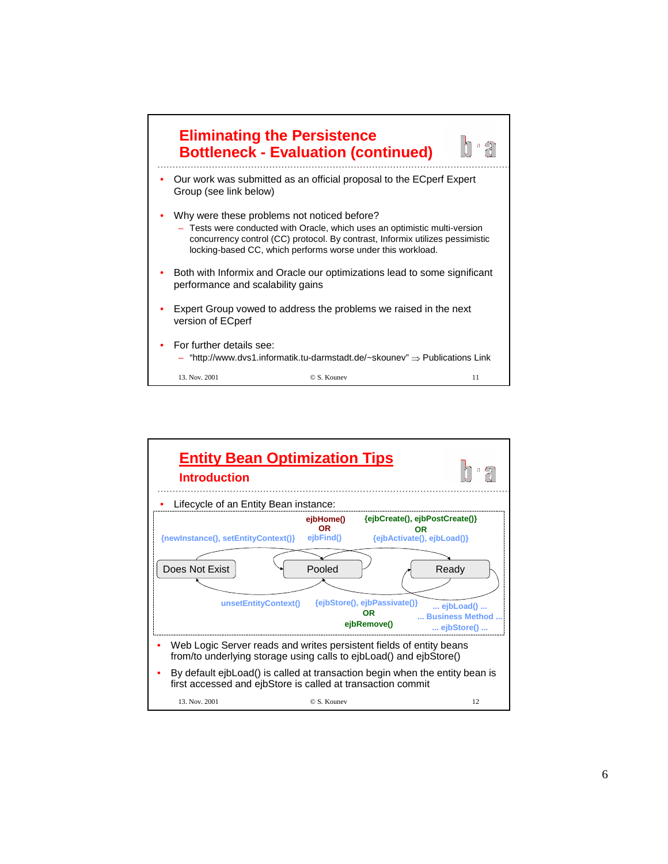

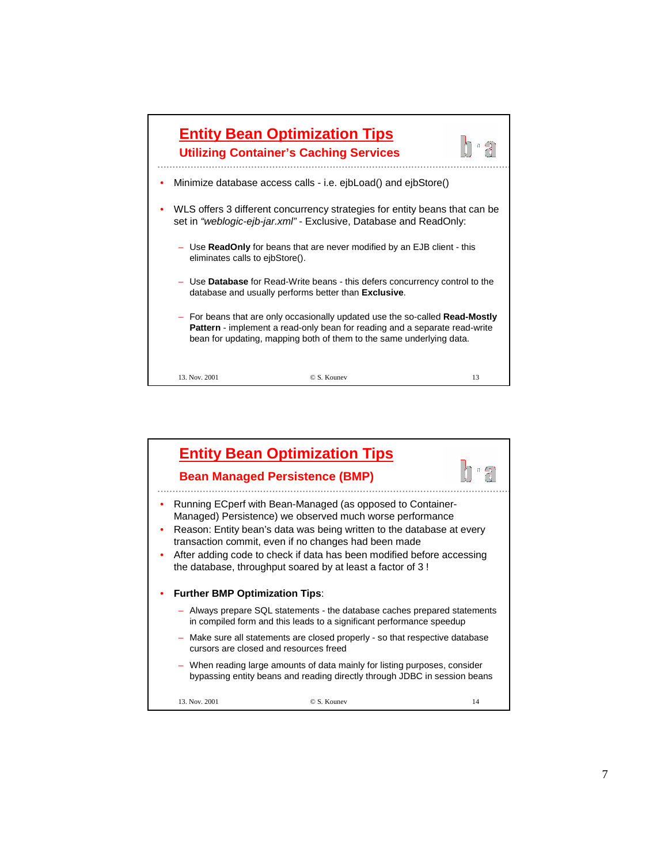

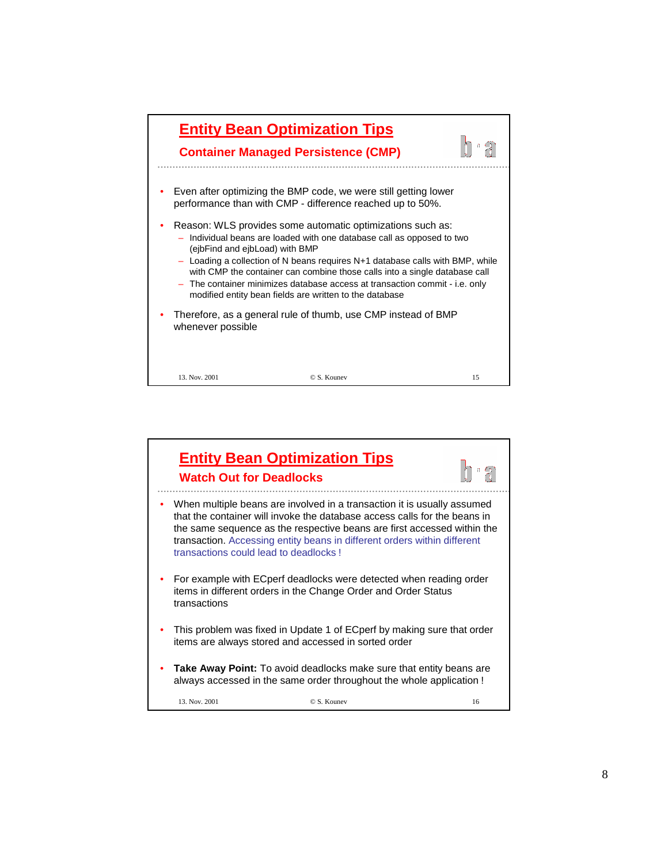

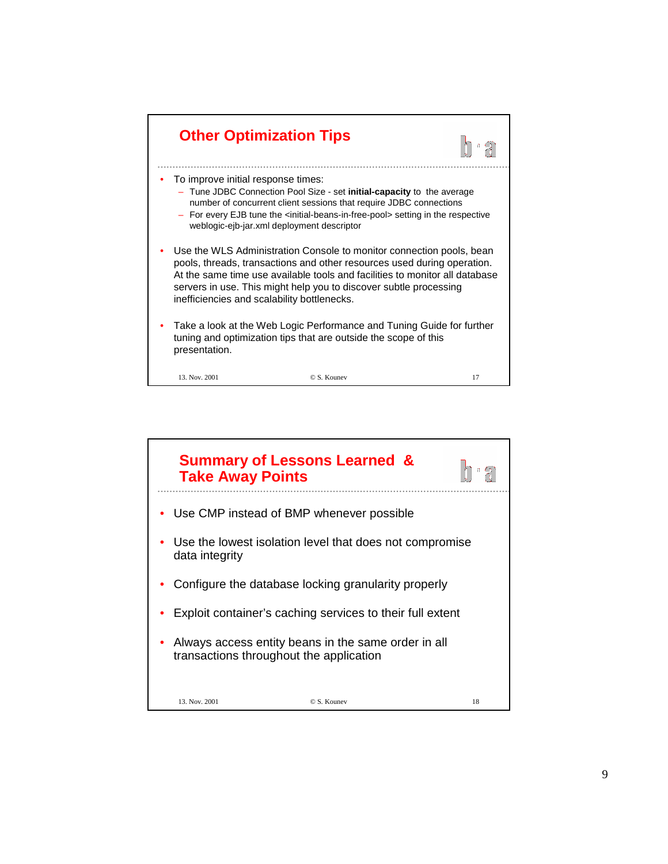